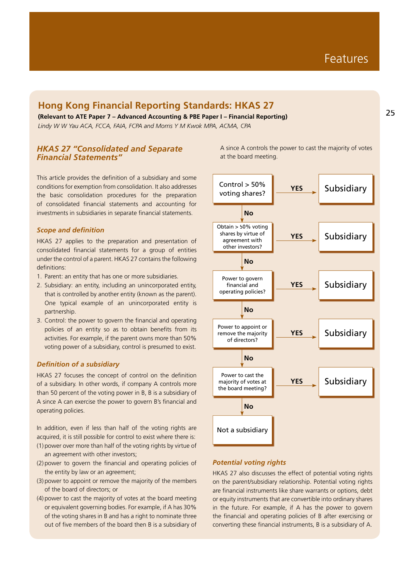## **Hong Kong Financial Reporting Standards: HKAS 27**

**(Relevant to ATE Paper 7 – Advanced Accounting & PBE Paper I – Financial Reporting)** *Lindy W W Yau ACA, FCCA, FAIA, FCPA and Morris Y M Kwok MPA, ACMA, CPA*

### *HKAS 27 "Consolidated and Separate Financial Statements"*

This article provides the definition of a subsidiary and some conditions for exemption from consolidation. It also addresses the basic consolidation procedures for the preparation of consolidated financial statements and accounting for investments in subsidiaries in separate financial statements.

#### *Scope and definition*

HKAS 27 applies to the preparation and presentation of consolidated financial statements for a group of entities under the control of a parent. HKAS 27 contains the following definitions:

- 1. Parent: an entity that has one or more subsidiaries.
- 2. Subsidiary: an entity, including an unincorporated entity, that is controlled by another entity (known as the parent). One typical example of an unincorporated entity is partnership.
- 3. Control: the power to govern the financial and operating policies of an entity so as to obtain benefits from its activities. For example, if the parent owns more than 50% voting power of a subsidiary, control is presumed to exist.

#### *Definition of a subsidiary*

HKAS 27 focuses the concept of control on the definition of a subsidiary. In other words, if company A controls more than 50 percent of the voting power in B, B is a subsidiary of A since A can exercise the power to govern B's financial and operating policies.

In addition, even if less than half of the voting rights are acquired, it is still possible for control to exist where there is: (1) power over more than half of the voting rights by virtue of

- an agreement with other investors; (2) power to govern the financial and operating policies of
- the entity by law or an agreement;
- (3) power to appoint or remove the majority of the members of the board of directors; or
- (4) power to cast the majority of votes at the board meeting or equivalent governing bodies. For example, if A has 30% of the voting shares in B and has a right to nominate three out of five members of the board then B is a subsidiary of

A since A controls the power to cast the majority of votes at the board meeting.



#### *Potential voting rights*

HKAS 27 also discusses the effect of potential voting rights on the parent/subsidiary relationship. Potential voting rights are financial instruments like share warrants or options, debt or equity instruments that are convertible into ordinary shares in the future. For example, if A has the power to govern the financial and operating policies of B after exercising or converting these financial instruments, B is a subsidiary of A.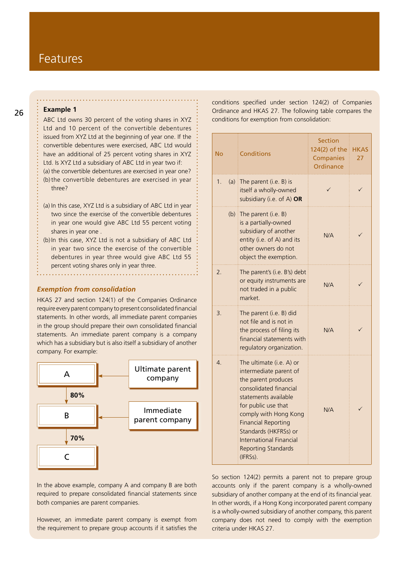## Features

#### **Example 1**

ABC Ltd owns 30 percent of the voting shares in XYZ Ltd and 10 percent of the convertible debentures issued from XYZ Ltd at the beginning of year one. If the convertible debentures were exercised, ABC Ltd would have an additional of 25 percent voting shares in XYZ Ltd. Is XYZ Ltd a subsidiary of ABC Ltd in year two if:

(a) the convertible debentures are exercised in year one? (b)the convertible debentures are exercised in year three?

- (a) In this case, XYZ Ltd is a subsidiary of ABC Ltd in year two since the exercise of the convertible debentures in year one would give ABC Ltd 55 percent voting shares in year one .
- (b) In this case, XYZ Ltd is not a subsidiary of ABC Ltd in year two since the exercise of the convertible debentures in year three would give ABC Ltd 55 percent voting shares only in year three.

#### *Exemption from consolidation*

HKAS 27 and section 124(1) of the Companies Ordinance require every parent company to present consolidated financial statements. In other words, all immediate parent companies in the group should prepare their own consolidated financial statements. An immediate parent company is a company which has a subsidiary but is also itself a subsidiary of another company. For example:



In the above example, company A and company B are both required to prepare consolidated financial statements since both companies are parent companies.

However, an immediate parent company is exempt from the requirement to prepare group accounts if it satisfies the conditions specified under section 124(2) of Companies Ordinance and HKAS 27. The following table compares the conditions for exemption from consolidation:

| No | Conditions                                                                                                                                                                                                                                                                                              | Section<br>124(2) of the<br>Companies<br>Ordinance | <b>HKAS</b><br>27 |
|----|---------------------------------------------------------------------------------------------------------------------------------------------------------------------------------------------------------------------------------------------------------------------------------------------------------|----------------------------------------------------|-------------------|
| 1. | (a) The parent (i.e. $B$ ) is<br>itself a wholly-owned<br>subsidiary (i.e. of A) OR                                                                                                                                                                                                                     |                                                    |                   |
|    | (b) The parent (i.e. $B$ )<br>is a partially-owned<br>subsidiary of another<br>entity (i.e. of A) and its<br>other owners do not<br>object the exemption.                                                                                                                                               | N/A                                                |                   |
| 2. | The parent's (i.e. B's) debt<br>or equity instruments are<br>not traded in a public<br>market.                                                                                                                                                                                                          | N/A                                                |                   |
| 3. | The parent (i.e. B) did<br>not file and is not in<br>the process of filing its<br>financial statements with<br>regulatory organization.                                                                                                                                                                 | N/A                                                |                   |
| 4. | The ultimate (i.e. A) or<br>intermediate parent of<br>the parent produces<br>consolidated financial<br>statements available<br>for public use that<br>comply with Hong Kong<br><b>Financial Reporting</b><br>Standards (HKFRSs) or<br>International Financial<br><b>Reporting Standards</b><br>(IFRSs). | N/A                                                |                   |

So section 124(2) permits a parent not to prepare group accounts only if the parent company is a wholly-owned subsidiary of another company at the end of its financial year. In other words, if a Hong Kong incorporated parent company is a wholly-owned subsidiary of another company, this parent company does not need to comply with the exemption criteria under HKAS 27.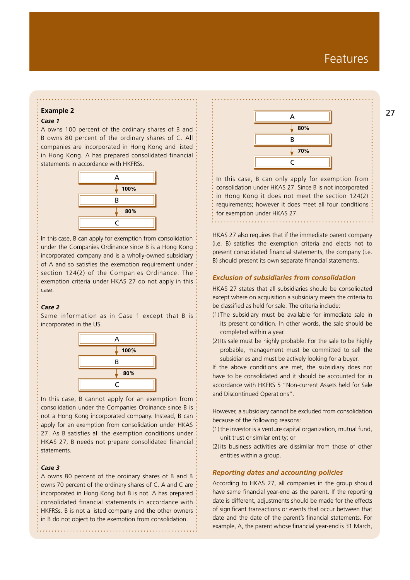# *Case 1*

A owns 100 percent of the ordinary shares of B and B owns 80 percent of the ordinary shares of C. All companies are incorporated in Hong Kong and listed in Hong Kong. A has prepared consolidated financial statements in accordance with HKFRSs.



In this case, B can apply for exemption from consolidation under the Companies Ordinance since B is a Hong Kong incorporated company and is a wholly-owned subsidiary of A and so satisfies the exemption requirement under section 124(2) of the Companies Ordinance. The exemption criteria under HKAS 27 do not apply in this case.

#### *Case 2*

Same information as in Case 1 except that B is incorporated in the US.



In this case, B cannot apply for an exemption from consolidation under the Companies Ordinance since B is not a Hong Kong incorporated company. Instead, B can apply for an exemption from consolidation under HKAS 27. As B satisfies all the exemption conditions under HKAS 27, B needs not prepare consolidated financial statements.

#### *Case 3*

A owns 80 percent of the ordinary shares of B and B owns 70 percent of the ordinary shares of C. A and C are incorporated in Hong Kong but B is not. A has prepared consolidated financial statements in accordance with HKFRSs. B is not a listed company and the other owners in B do not object to the exemption from consolidation.



In this case, B can only apply for exemption from consolidation under HKAS 27. Since B is not incorporated in Hong Kong it does not meet the section 124(2) requirements; however it does meet all four conditions for exemption under HKAS 27.

HKAS 27 also requires that if the immediate parent company (i.e. B) satisfies the exemption criteria and elects not to present consolidated financial statements, the company (i.e. B) should present its own separate financial statements.

#### *Exclusion of subsidiaries from consolidation*

HKAS 27 states that all subsidiaries should be consolidated except where on acquisition a subsidiary meets the criteria to be classified as held for sale. The criteria include:

- (1) The subsidiary must be available for immediate sale in its present condition. In other words, the sale should be completed within a year.
- (2) Its sale must be highly probable. For the sale to be highly probable, management must be committed to sell the subsidiaries and must be actively looking for a buyer.

If the above conditions are met, the subsidiary does not have to be consolidated and it should be accounted for in accordance with HKFRS 5 "Non-current Assets held for Sale and Discontinued Operations".

However, a subsidiary cannot be excluded from consolidation because of the following reasons:

- (1) the investor is a venture capital organization, mutual fund, unit trust or similar entity; or
- (2) its business activities are dissimilar from those of other entities within a group.

#### *Reporting dates and accounting policies*

According to HKAS 27, all companies in the group should have same financial year-end as the parent. If the reporting date is different, adjustments should be made for the effects of significant transactions or events that occur between that date and the date of the parent's financial statements. For example, A, the parent whose financial year-end is 31 March,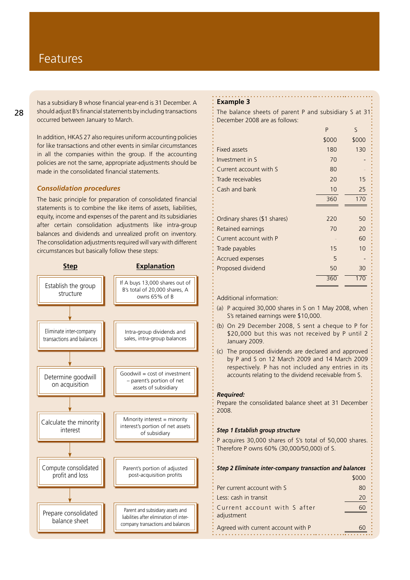has a subsidiary B whose financial year-end is 31 December. A should adjust B's financial statements by including transactions occurred between January to March.

In addition, HKAS 27 also requires uniform accounting policies for like transactions and other events in similar circumstances in all the companies within the group. If the accounting policies are not the same, appropriate adjustments should be made in the consolidated financial statements.

#### *Consolidation procedures*

The basic principle for preparation of consolidated financial statements is to combine the like items of assets, liabilities, equity, income and expenses of the parent and its subsidiaries after certain consolidation adjustments like intra-group balances and dividends and unrealized profit on inventory. The consolidation adjustments required will vary with different circumstances but basically follow these steps:



#### **Example 3**

The balance sheets of parent P and subsidiary S at 31: December 2008 are as follows:

|       | ς     |
|-------|-------|
| \$000 | \$000 |
| 180   | 130   |
| 70    |       |
| 80    |       |
| 20    | 15    |
| 10    | 25    |
| 360   | 170   |
|       |       |
| 220   | 50    |
| 70    | 20    |
|       | 60    |
| 15    | 10    |
| 5     |       |
| 50    | 30    |
|       |       |
|       | P     |

Additional information:

- (a) P acquired 30,000 shares in S on 1 May 2008, when S's retained earnings were \$10,000.
- (b) On 29 December 2008, S sent a cheque to P for \$20,000 but this was not received by P until 2 January 2009.
- (c) The proposed dividends are declared and approved by P and S on 12 March 2009 and 14 March 2009 respectively. P has not included any entries in its accounts relating to the dividend receivable from S.

#### *Required:*

Prepare the consolidated balance sheet at 31 December 2008.

#### *Step 1 Establish group structure*

P acquires 30,000 shares of S's total of 50,000 shares. Therefore P owns 60% (30,000/50,000) of S.

| Step 2 Eliminate inter-company transaction and balances |       |  |
|---------------------------------------------------------|-------|--|
|                                                         | \$000 |  |
| Per current account with S                              | 80    |  |
| : Less: cash in transit                                 | 20    |  |
| Current account with S after<br>adjustment              | 60    |  |
| Agreed with current account with P                      |       |  |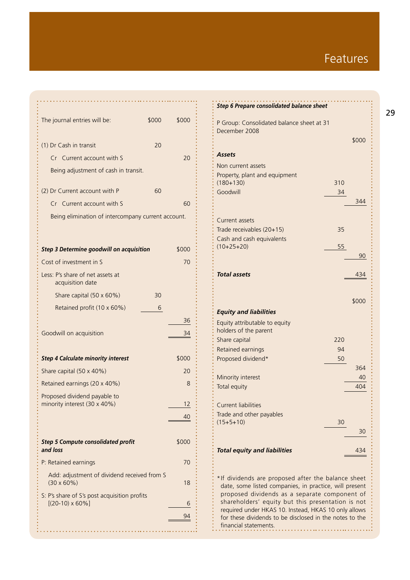# Features

| The journal entries will be:                                                 | \$000 | \$000 |  |
|------------------------------------------------------------------------------|-------|-------|--|
| (1) Dr Cash in transit                                                       | 20    |       |  |
| Cr Current account with S                                                    |       | 20    |  |
| Being adjustment of cash in transit.                                         |       |       |  |
| (2) Dr Current account with P                                                | 60    |       |  |
| Cr Current account with S                                                    |       | 60    |  |
| Being elimination of intercompany current account.                           |       |       |  |
| <b>Step 3 Determine goodwill on acquisition</b>                              |       | \$000 |  |
| Cost of investment in S                                                      |       | 70    |  |
| Less: P's share of net assets at<br>acquisition date                         |       |       |  |
| Share capital (50 x 60%)                                                     | 30    |       |  |
| Retained profit (10 x 60%)                                                   | 6     |       |  |
|                                                                              |       | 36    |  |
| Goodwill on acquisition                                                      |       | 34    |  |
| \$000<br><b>Step 4 Calculate minority interest</b>                           |       |       |  |
| Share capital (50 x 40%)                                                     |       | 20    |  |
| Retained earnings (20 x 40%)                                                 |       | 8     |  |
| Proposed dividend payable to<br>minority interest (30 x 40%)                 |       | 12    |  |
|                                                                              |       | 40    |  |
| <b>Step 5 Compute consolidated profit</b><br>and loss                        | \$000 |       |  |
| P: Retained earnings                                                         |       | 70    |  |
| Add: adjustment of dividend received from S<br>$(30 \times 60\%)$            | 18    |       |  |
| S: P's share of S's post acquisition profits<br>$[(20-10) \times 60\%]$<br>6 |       |       |  |
|                                                                              |       | 94    |  |
|                                                                              |       |       |  |

| <b>Step 6 Prepare consolidated balance sheet</b>                                                                                                              |          |       |
|---------------------------------------------------------------------------------------------------------------------------------------------------------------|----------|-------|
| P Group: Consolidated balance sheet at 31<br>December 2008                                                                                                    |          | \$000 |
| Assets                                                                                                                                                        |          |       |
| Non current assets                                                                                                                                            |          |       |
| Property, plant and equipment                                                                                                                                 |          |       |
| $(180+130)$                                                                                                                                                   | 310      |       |
| Goodwill                                                                                                                                                      | 34       | 344   |
|                                                                                                                                                               |          |       |
| Current assets                                                                                                                                                |          |       |
| Trade receivables (20+15)                                                                                                                                     | 35       |       |
| Cash and cash equivalents<br>$(10+25+20)$                                                                                                                     | 55       |       |
|                                                                                                                                                               |          | 90    |
|                                                                                                                                                               |          |       |
| Total assets                                                                                                                                                  |          | 434   |
|                                                                                                                                                               |          |       |
|                                                                                                                                                               |          | \$000 |
| <b>Equity and liabilities</b>                                                                                                                                 |          |       |
| Equity attributable to equity                                                                                                                                 |          |       |
| holders of the parent                                                                                                                                         |          |       |
| Share capital                                                                                                                                                 | 220      |       |
| Retained earnings<br>Proposed dividend*                                                                                                                       | 94<br>50 |       |
|                                                                                                                                                               |          | 364   |
| Minority interest                                                                                                                                             |          | 40    |
| Total equity                                                                                                                                                  |          | 404   |
|                                                                                                                                                               |          |       |
| Current liabilities                                                                                                                                           |          |       |
| Trade and other payables<br>$(15+5+10)$                                                                                                                       | 30       |       |
|                                                                                                                                                               |          | 30    |
|                                                                                                                                                               |          |       |
| <b>Total equity and liabilities</b>                                                                                                                           |          | 434   |
|                                                                                                                                                               |          |       |
| *If dividends are proposed after the balance sheet<br>date, some listed companies, in practice, will present<br>proposed dividends as a separate component of |          |       |

shareholders' equity but this presentation is not required under HKAS 10. Instead, HKAS 10 only allows for these dividends to be disclosed in the notes to the  $\vdots$  financial statements.